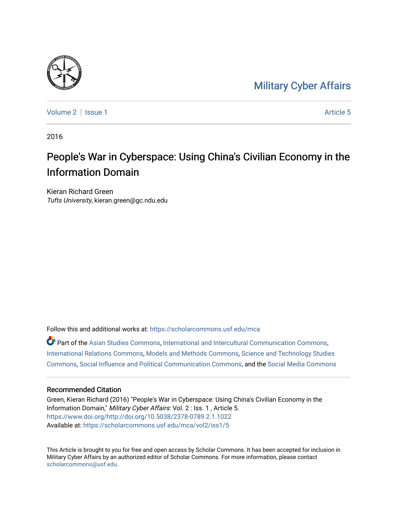## [Military Cyber Affairs](https://scholarcommons.usf.edu/mca)



[Volume 2](https://scholarcommons.usf.edu/mca/vol2) | [Issue 1](https://scholarcommons.usf.edu/mca/vol2/iss1) Article 5

2016

# People's War in Cyberspace: Using China's Civilian Economy in the Information Domain

Kieran Richard Green Tufts University, kieran.green@gc.ndu.edu

Follow this and additional works at: [https://scholarcommons.usf.edu/mca](https://scholarcommons.usf.edu/mca?utm_source=scholarcommons.usf.edu%2Fmca%2Fvol2%2Fiss1%2F5&utm_medium=PDF&utm_campaign=PDFCoverPages)

Part of the [Asian Studies Commons,](http://network.bepress.com/hgg/discipline/361?utm_source=scholarcommons.usf.edu%2Fmca%2Fvol2%2Fiss1%2F5&utm_medium=PDF&utm_campaign=PDFCoverPages) [International and Intercultural Communication Commons](http://network.bepress.com/hgg/discipline/331?utm_source=scholarcommons.usf.edu%2Fmca%2Fvol2%2Fiss1%2F5&utm_medium=PDF&utm_campaign=PDFCoverPages), [International Relations Commons](http://network.bepress.com/hgg/discipline/389?utm_source=scholarcommons.usf.edu%2Fmca%2Fvol2%2Fiss1%2F5&utm_medium=PDF&utm_campaign=PDFCoverPages), [Models and Methods Commons](http://network.bepress.com/hgg/discipline/390?utm_source=scholarcommons.usf.edu%2Fmca%2Fvol2%2Fiss1%2F5&utm_medium=PDF&utm_campaign=PDFCoverPages), [Science and Technology Studies](http://network.bepress.com/hgg/discipline/435?utm_source=scholarcommons.usf.edu%2Fmca%2Fvol2%2Fiss1%2F5&utm_medium=PDF&utm_campaign=PDFCoverPages)  [Commons](http://network.bepress.com/hgg/discipline/435?utm_source=scholarcommons.usf.edu%2Fmca%2Fvol2%2Fiss1%2F5&utm_medium=PDF&utm_campaign=PDFCoverPages), [Social Influence and Political Communication Commons,](http://network.bepress.com/hgg/discipline/337?utm_source=scholarcommons.usf.edu%2Fmca%2Fvol2%2Fiss1%2F5&utm_medium=PDF&utm_campaign=PDFCoverPages) and the [Social Media Commons](http://network.bepress.com/hgg/discipline/1249?utm_source=scholarcommons.usf.edu%2Fmca%2Fvol2%2Fiss1%2F5&utm_medium=PDF&utm_campaign=PDFCoverPages) 

#### Recommended Citation

Green, Kieran Richard (2016) "People's War in Cyberspace: Using China's Civilian Economy in the Information Domain," Military Cyber Affairs: Vol. 2 : Iss. 1 , Article 5. [https://www.doi.org/http://doi.org/10.5038/2378-0789.2.1.1022](https://doi.org/http://doi.org/10.5038/2378-0789.2.1.1022) Available at: [https://scholarcommons.usf.edu/mca/vol2/iss1/5](https://scholarcommons.usf.edu/mca/vol2/iss1/5?utm_source=scholarcommons.usf.edu%2Fmca%2Fvol2%2Fiss1%2F5&utm_medium=PDF&utm_campaign=PDFCoverPages)

This Article is brought to you for free and open access by Scholar Commons. It has been accepted for inclusion in Military Cyber Affairs by an authorized editor of Scholar Commons. For more information, please contact [scholarcommons@usf.edu.](mailto:scholarcommons@usf.edu)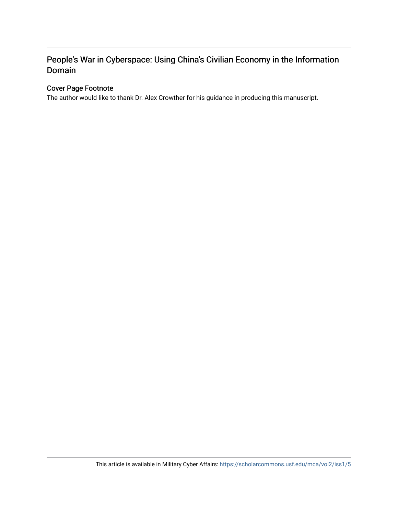## People's War in Cyberspace: Using China's Civilian Economy in the Information Domain

#### Cover Page Footnote

The author would like to thank Dr. Alex Crowther for his guidance in producing this manuscript.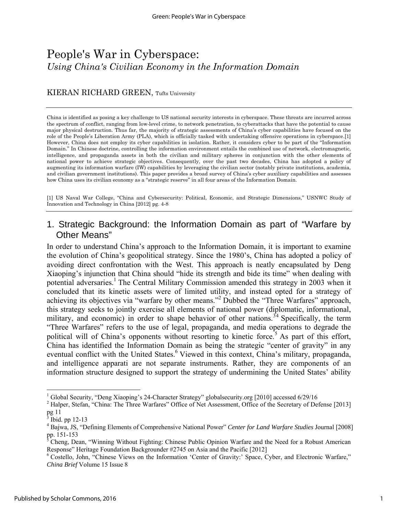# People's War in Cyberspace: *Using China's Civilian Economy in the Information Domain*

#### KIERAN RICHARD GREEN, Tufts University

China is identified as posing a key challenge to US national security interests in cyberspace. These threats are incurred across the spectrum of conflict, ranging from low-level crime, to network penetration, to cyberattacks that have the potential to cause major physical destruction. Thus far, the majority of strategic assessments of China's cyber capabilities have focused on the role of the People's Liberation Army (PLA), which is officially tasked with undertaking offensive operations in cyberspace.[1] However, China does not employ its cyber capabilities in isolation. Rather, it considers cyber to be part of the "Information Domain." In Chinese doctrine, controlling the information environment entails the combined use of network, electromagnetic, intelligence, and propaganda assets in both the civilian and military spheres in conjunction with the other elements of national power to achieve strategic objectives. Consequently, over the past two decades, China has adopted a policy of augmenting its information warfare (IW) capabilities by leveraging the civilian sector (notably private institutions, academia, and civilian government institutions). This paper provides a broad survey of China's cyber auxiliary capabilities and assesses how China uses its civilian economy as a "strategic reserve" in all four areas of the Information Domain.

[1] US Naval War College, "China and Cybersecurity: Political, Economic, and Strategic Dimensions," USNWC Study of Innovation and Technology in China [2012] pg. 4-8

#### 1. Strategic Background: the Information Domain as part of "Warfare by Other Means"

In order to understand China's approach to the Information Domain, it is important to examine the evolution of China's geopolitical strategy. Since the 1980's, China has adopted a policy of avoiding direct confrontation with the West. This approach is neatly encapsulated by Deng Xiaoping's injunction that China should "hide its strength and bide its time" when dealing with potential adversaries.<sup>1</sup> The Central Military Commission amended this strategy in 2003 when it concluded that its kinetic assets were of limited utility, and instead opted for a strategy of achieving its objectives via "warfare by other means."<sup>2</sup> Dubbed the "Three Warfares" approach, this strategy seeks to jointly exercise all elements of national power (diplomatic, informational, military, and economic) in order to shape behavior of other nations.<sup>34</sup> Specifically, the term "Three Warfares" refers to the use of legal, propaganda, and media operations to degrade the political will of China's opponents without resorting to kinetic force.<sup>5</sup> As part of this effort, China has identified the Information Domain as being the strategic "center of gravity" in any eventual conflict with the United States.<sup>6</sup> Viewed in this context, China's military, propaganda, and intelligence apparati are not separate instruments. Rather, they are components of an information structure designed to support the strategy of undermining the United States' ability

<sup>&</sup>lt;sup>1</sup> Global Security, "Deng Xiaoping's 24-Character Strategy" globalsecurity.org [2010] accessed 6/29/16

<sup>&</sup>lt;sup>2</sup> Halper, Stefan, "China: The Three Warfares" Office of Net Assessment, Office of the Secretary of Defense [2013]  $\frac{pg}{h}$ ll

Ibid. pp 12-13

<sup>4</sup> Bajwa, JS, "Defining Elements of Comprehensive National Power" *Center for Land Warfare Studies* Journal [2008]

pp. 151-153<br><sup>5</sup> Cheng, Dean, "Winning Without Fighting: Chinese Public Opinion Warfare and the Need for a Robust American Response" Heritage Foundation Backgrounder #2745 on Asia and the Pacific [2012]

<sup>&</sup>lt;sup>6</sup> Costello, John, "Chinese Views on the Information 'Center of Gravity:' Space, Cyber, and Electronic Warfare," *China Brief* Volume 15 Issue 8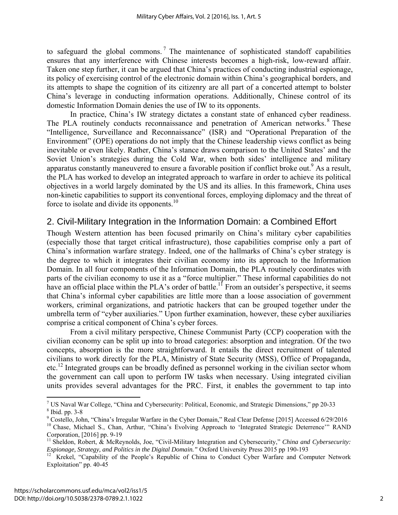to safeguard the global commons.<sup>7</sup> The maintenance of sophisticated standoff capabilities ensures that any interference with Chinese interests becomes a high-risk, low-reward affair. Taken one step further, it can be argued that China's practices of conducting industrial espionage, its policy of exercising control of the electronic domain within China's geographical borders, and its attempts to shape the cognition of its citizenry are all part of a concerted attempt to bolster China's leverage in conducting information operations. Additionally, Chinese control of its domestic Information Domain denies the use of IW to its opponents.

In practice, China's IW strategy dictates a constant state of enhanced cyber readiness. The PLA routinely conducts reconnaissance and penetration of American networks.<sup>8</sup> These "Intelligence, Surveillance and Reconnaissance" (ISR) and "Operational Preparation of the Environment" (OPE) operations do not imply that the Chinese leadership views conflict as being inevitable or even likely. Rather, China's stance draws comparison to the United States' and the Soviet Union's strategies during the Cold War, when both sides' intelligence and military apparatus constantly maneuvered to ensure a favorable position if conflict broke out.<sup>9</sup> As a result, the PLA has worked to develop an integrated approach to warfare in order to achieve its political objectives in a world largely dominated by the US and its allies. In this framework, China uses non-kinetic capabilities to support its conventional forces, employing diplomacy and the threat of force to isolate and divide its opponents.<sup>10</sup>

## 2. Civil-Military Integration in the Information Domain: a Combined Effort

Though Western attention has been focused primarily on China's military cyber capabilities (especially those that target critical infrastructure), those capabilities comprise only a part of China's information warfare strategy. Indeed, one of the hallmarks of China's cyber strategy is the degree to which it integrates their civilian economy into its approach to the Information Domain. In all four components of the Information Domain, the PLA routinely coordinates with parts of the civilian economy to use it as a "force multiplier." These informal capabilities do not have an official place within the PLA's order of battle.<sup>11</sup> From an outsider's perspective, it seems that China's informal cyber capabilities are little more than a loose association of government workers, criminal organizations, and patriotic hackers that can be grouped together under the umbrella term of "cyber auxiliaries." Upon further examination, however, these cyber auxiliaries comprise a critical component of China's cyber forces.

 From a civil military perspective, Chinese Communist Party (CCP) cooperation with the civilian economy can be split up into to broad categories: absorption and integration. Of the two concepts, absorption is the more straightforward. It entails the direct recruitment of talented civilians to work directly for the PLA, Ministry of State Security (MSS), Office of Propaganda, etc.12 Integrated groups can be broadly defined as personnel working in the civilian sector whom the government can call upon to perform IW tasks when necessary. Using integrated civilian units provides several advantages for the PRC. First, it enables the government to tap into

US Naval War College, "China and Cybersecurity: Political, Economic, and Strategic Dimensions," pp 20-33  $\frac{8 \text{ }\text{H}_{20}}{2 \text{ }\Omega}$  $8$  Ibid. pp. 3-8

<sup>&</sup>lt;sup>9</sup> Costello, John, "China's Irregular Warfare in the Cyber Domain," Real Clear Defense [2015] Accessed 6/29/2016 <sup>10</sup> Chase, Michael S., Chan, Arthur, "China's Evolving Approach to 'Integrated Strategic Deterrence'" RAND Corporation, [2016] pp. 9-19

<sup>11</sup> Sheldon, Robert, & McReynolds, Joe, "Civil-Military Integration and Cybersecurity," *China and Cybersecurity:* 

*Espionage, Strategy, and Politics in the Digital Domain."* Oxford University Press 2015 pp 190-193<br><sup>12</sup> Krekel, "Capability of the People's Republic of China to Conduct Cyber Warfare and Computer Network Exploitation" pp. 40-45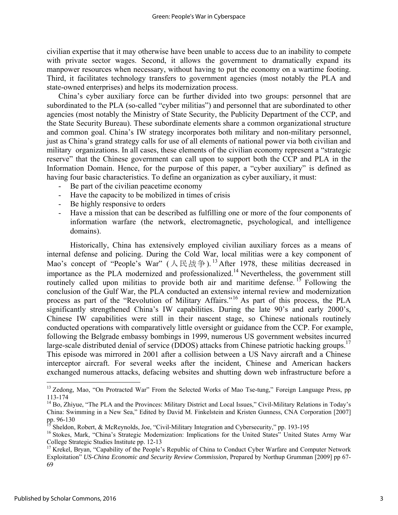civilian expertise that it may otherwise have been unable to access due to an inability to compete with private sector wages. Second, it allows the government to dramatically expand its manpower resources when necessary, without having to put the economy on a wartime footing. Third, it facilitates technology transfers to government agencies (most notably the PLA and state-owned enterprises) and helps its modernization process.

China's cyber auxiliary force can be further divided into two groups: personnel that are subordinated to the PLA (so-called "cyber militias") and personnel that are subordinated to other agencies (most notably the Ministry of State Security, the Publicity Department of the CCP, and the State Security Bureau). These subordinate elements share a common organizational structure and common goal. China's IW strategy incorporates both military and non-military personnel, just as China's grand strategy calls for use of all elements of national power via both civilian and military organizations. In all cases, these elements of the civilian economy represent a "strategic reserve" that the Chinese government can call upon to support both the CCP and PLA in the Information Domain. Hence, for the purpose of this paper, a "cyber auxiliary" is defined as having four basic characteristics. To define an organization as cyber auxiliary, it must:

- Be part of the civilian peacetime economy
- Have the capacity to be mobilized in times of crisis
- Be highly responsive to orders
- Have a mission that can be described as fulfilling one or more of the four components of information warfare (the network, electromagnetic, psychological, and intelligence domains).

 Historically, China has extensively employed civilian auxiliary forces as a means of internal defense and policing. During the Cold War, local militias were a key component of Mao's concept of "People's War" (人民战争).<sup>13</sup> After 1978, these militias decreased in importance as the PLA modernized and professionalized.14 Nevertheless, the government still routinely called upon militias to provide both air and maritime defense.<sup>15</sup> Following the conclusion of the Gulf War, the PLA conducted an extensive internal review and modernization process as part of the "Revolution of Military Affairs."16 As part of this process, the PLA significantly strengthened China's IW capabilities. During the late 90's and early 2000's, Chinese IW capabilities were still in their nascent stage, so Chinese nationals routinely conducted operations with comparatively little oversight or guidance from the CCP. For example, following the Belgrade embassy bombings in 1999, numerous US government websites incurred large-scale distributed denial of service (DDOS) attacks from Chinese patriotic hacking groups.<sup>17</sup> This episode was mirrored in 2001 after a collision between a US Navy aircraft and a Chinese interceptor aircraft. For several weeks after the incident, Chinese and American hackers exchanged numerous attacks, defacing websites and shutting down web infrastructure before a

<sup>&</sup>lt;sup>13</sup> Zedong, Mao, "On Protracted War" From the Selected Works of Mao Tse-tung," Foreign Language Press, pp 113-174

<sup>&</sup>lt;sup>14</sup> Bo, Zhiyue, "The PLA and the Provinces: Military District and Local Issues," Civil-Military Relations in Today's China: Swimming in a New Sea," Edited by David M. Finkelstein and Kristen Gunness, CNA Corporation [2007] pp. 96-130

<sup>15</sup> Sheldon, Robert, & McReynolds, Joe, "Civil-Military Integration and Cybersecurity," pp. 193-195

<sup>&</sup>lt;sup>16</sup> Stokes, Mark, "China's Strategic Modernization: Implications for the United States" United States Army War College Strategic Studies Institute pp. 12-13

<sup>&</sup>lt;sup>17</sup> Krekel, Bryan, "Capability of the People's Republic of China to Conduct Cyber Warfare and Computer Network Exploitation" *US-China Economic and Security Review Commission*, Prepared by Northup Grumman [2009] pp 67- 69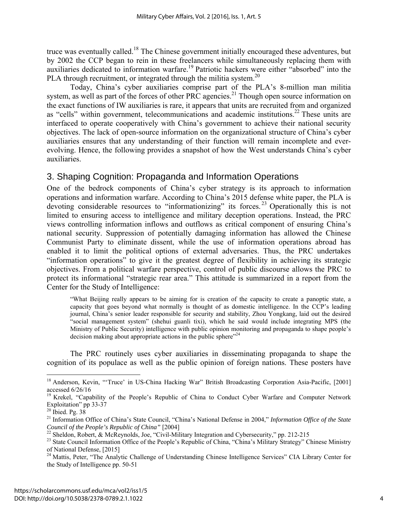truce was eventually called.<sup>18</sup> The Chinese government initially encouraged these adventures, but by 2002 the CCP began to rein in these freelancers while simultaneously replacing them with auxiliaries dedicated to information warfare.<sup>19</sup> Patriotic hackers were either "absorbed" into the PLA through recruitment, or integrated through the militia system.<sup>20</sup>

Today, China's cyber auxiliaries comprise part of the PLA's 8-million man militia system, as well as part of the forces of other PRC agencies.<sup>21</sup> Though open source information on the exact functions of IW auxiliaries is rare, it appears that units are recruited from and organized as "cells" within government, telecommunications and academic institutions.<sup>22</sup> These units are interfaced to operate cooperatively with China's government to achieve their national security objectives. The lack of open-source information on the organizational structure of China's cyber auxiliaries ensures that any understanding of their function will remain incomplete and everevolving. Hence, the following provides a snapshot of how the West understands China's cyber auxiliaries.

#### 3. Shaping Cognition: Propaganda and Information Operations

One of the bedrock components of China's cyber strategy is its approach to information operations and information warfare. According to China's 2015 defense white paper, the PLA is devoting considerable resources to "informationizing" its forces.<sup>23</sup> Operationally this is not limited to ensuring access to intelligence and military deception operations. Instead, the PRC views controlling information inflows and outflows as critical component of ensuring China's national security. Suppression of potentially damaging information has allowed the Chinese Communist Party to eliminate dissent, while the use of information operations abroad has enabled it to limit the political options of external adversaries. Thus, the PRC undertakes "information operations" to give it the greatest degree of flexibility in achieving its strategic objectives. From a political warfare perspective, control of public discourse allows the PRC to protect its informational "strategic rear area." This attitude is summarized in a report from the Center for the Study of Intelligence:

"What Beijing really appears to be aiming for is creation of the capacity to create a panoptic state, a capacity that goes beyond what normally is thought of as domestic intelligence. In the CCP's leading journal, China's senior leader responsible for security and stability, Zhou Yongkang, laid out the desired "social management system" (shehui guanli tixi), which he said would include integrating MPS (the Ministry of Public Security) intelligence with public opinion monitoring and propaganda to shape people's decision making about appropriate actions in the public sphere"<sup>24</sup>

The PRC routinely uses cyber auxiliaries in disseminating propaganda to shape the cognition of its populace as well as the public opinion of foreign nations. These posters have

<sup>&</sup>lt;sup>18</sup> Anderson, Kevin, "'Truce' in US-China Hacking War" British Broadcasting Corporation Asia-Pacific, [2001] accessed 6/26/16

<sup>&</sup>lt;sup>19</sup> Krekel, "Capability of the People's Republic of China to Conduct Cyber Warfare and Computer Network Exploitation" pp 33-37

 $20$  Ibied. Pg. 38

<sup>&</sup>lt;sup>21</sup> Information Office of China's State Council, "China's National Defense in 2004," *Information Office of the State Council of the People's Republic of China*" [2004]

<sup>&</sup>lt;sup>22</sup> Sheldon, Robert, & McReynolds, Joe, "Civil-Military Integration and Cybersecurity," pp. 212-215

<sup>&</sup>lt;sup>23</sup> State Council Information Office of the People's Republic of China, "China's Military Strategy" Chinese Ministry of National Defense, [2015]

<sup>&</sup>lt;sup>24</sup> Mattis, Peter, "The Analytic Challenge of Understanding Chinese Intelligence Services" CIA Library Center for the Study of Intelligence pp. 50-51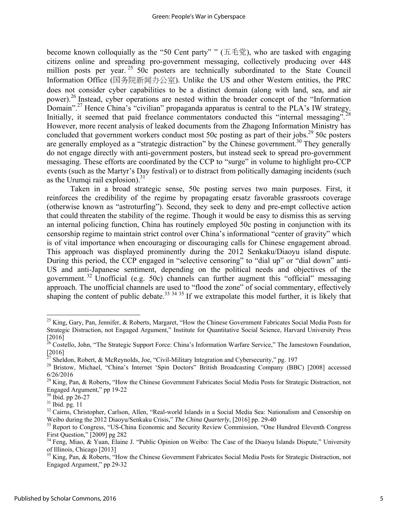become known colloquially as the "50 Cent party" " (五毛党), who are tasked with engaging citizens online and spreading pro-government messaging, collectively producing over 448 million posts per year.<sup>25</sup> 50c posters are technically subordinated to the State Council Information Office (国务院新闻办公室). Unlike the US and other Western entities, the PRC does not consider cyber capabilities to be a distinct domain (along with land, sea, and air power).26 Instead, cyber operations are nested within the broader concept of the "Information Domain".27 Hence China's "civilian" propaganda apparatus is central to the PLA's IW strategy. Initially, it seemed that paid freelance commentators conducted this "internal messaging".<sup>28</sup> However, more recent analysis of leaked documents from the Zhagong Information Ministry has concluded that government workers conduct most 50c posting as part of their jobs.<sup>29</sup> 50c posters are generally employed as a "strategic distraction" by the Chinese government.<sup>30</sup> They generally do not engage directly with anti-government posters, but instead seek to spread pro-government messaging. These efforts are coordinated by the CCP to "surge" in volume to highlight pro-CCP events (such as the Martyr's Day festival) or to distract from politically damaging incidents (such as the Urumqi rail explosion). $31$ 

Taken in a broad strategic sense, 50c posting serves two main purposes. First, it reinforces the credibility of the regime by propagating ersatz favorable grassroots coverage (otherwise known as "astroturfing"). Second, they seek to deny and pre-empt collective action that could threaten the stability of the regime. Though it would be easy to dismiss this as serving an internal policing function, China has routinely employed 50c posting in conjunction with its censorship regime to maintain strict control over China's informational "center of gravity" which is of vital importance when encouraging or discouraging calls for Chinese engagement abroad. This approach was displayed prominently during the 2012 Senkaku/Diaoyu island dispute. During this period, the CCP engaged in "selective censoring" to "dial up" or "dial down" anti-US and anti-Japanese sentiment, depending on the political needs and objectives of the government. 32 Unofficial (e.g. 50c) channels can further augment this "official" messaging approach. The unofficial channels are used to "flood the zone" of social commentary, effectively shaping the content of public debate.<sup>33 34 35</sup> If we extrapolate this model further, it is likely that

 $^{25}$  King, Gary, Pan, Jennifer, & Roberts, Margaret, "How the Chinese Government Fabricates Social Media Posts for Strategic Distraction, not Engaged Argument," Institute for Quantitative Social Science, Harvard University Press [2016]

<sup>&</sup>lt;sup>26</sup> Costello, John, "The Strategic Support Force: China's Information Warfare Service," The Jamestown Foundation, [2016]

 $^{27}$  Sheldon, Robert, & McReynolds, Joe, "Civil-Military Integration and Cybersecurity," pg. 197

<sup>&</sup>lt;sup>28</sup> Bristow, Michael, "China's Internet 'Spin Doctors" British Broadcasting Company (BBC) [2008] accessed 6/26/2016

<sup>&</sup>lt;sup>29</sup> King, Pan, & Roberts, "How the Chinese Government Fabricates Social Media Posts for Strategic Distraction, not Engaged Argument," pp 19-22

<sup>30</sup> Ibid. pp 26-27

 $31$  Ibid. pg. 11

 $32$  Cairns, Christopher, Carlson, Allen, "Real-world Islands in a Social Media Sea: Nationalism and Censorship on Weibo during the 2012 Diaoyu/Senkaku Crisis," The China Quarterly, [2016] pp. 29-40

<sup>&</sup>lt;sup>33</sup> Report to Congress, "US-China Economic and Security Review Commission, "One Hundred Eleventh Congress First Question," [2009] pg 282

<sup>&</sup>lt;sup>34</sup> Feng, Miao, & Yuan, Elaine J. "Public Opinion on Weibo: The Case of the Diaoyu Islands Dispute," University of Illinois, Chicago [2013]

<sup>&</sup>lt;sup>35</sup> King, Pan, & Roberts, "How the Chinese Government Fabricates Social Media Posts for Strategic Distraction, not Engaged Argument," pp 29-32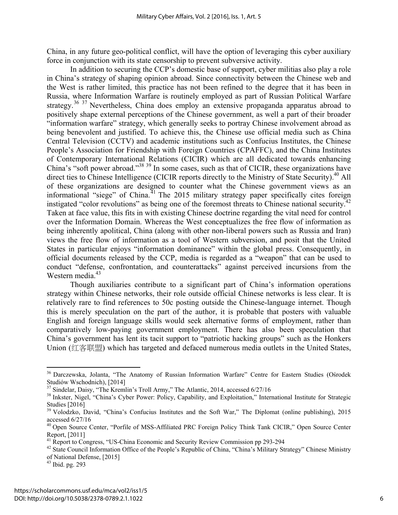China, in any future geo-political conflict, will have the option of leveraging this cyber auxiliary force in conjunction with its state censorship to prevent subversive activity.

In addition to securing the CCP's domestic base of support, cyber militias also play a role in China's strategy of shaping opinion abroad. Since connectivity between the Chinese web and the West is rather limited, this practice has not been refined to the degree that it has been in Russia, where Information Warfare is routinely employed as part of Russian Political Warfare strategy.<sup>36 37</sup> Nevertheless, China does employ an extensive propaganda apparatus abroad to positively shape external perceptions of the Chinese government, as well a part of their broader "information warfare" strategy, which generally seeks to portray Chinese involvement abroad as being benevolent and justified. To achieve this, the Chinese use official media such as China Central Television (CCTV) and academic institutions such as Confucius Institutes, the Chinese People's Association for Friendship with Foreign Countries (CPAFFC), and the China Institutes of Contemporary International Relations (CICIR) which are all dedicated towards enhancing China's "soft power abroad."38 39 In some cases, such as that of CICIR, these organizations have direct ties to Chinese Intelligence (CICIR reports directly to the Ministry of State Security).<sup>40</sup> All of these organizations are designed to counter what the Chinese government views as an informational "siege" of China.<sup>41</sup> The 2015 military strategy paper specifically cites foreign instigated "color revolutions" as being one of the foremost threats to Chinese national security.<sup>4</sup> Taken at face value, this fits in with existing Chinese doctrine regarding the vital need for control over the Information Domain. Whereas the West conceptualizes the free flow of information as being inherently apolitical, China (along with other non-liberal powers such as Russia and Iran) views the free flow of information as a tool of Western subversion, and posit that the United States in particular enjoys "information dominance" within the global press. Consequently, in official documents released by the CCP, media is regarded as a "weapon" that can be used to conduct "defense, confrontation, and counterattacks" against perceived incursions from the Western media.<sup>43</sup>

 Though auxiliaries contribute to a significant part of China's information operations strategy within Chinese networks, their role outside official Chinese networks is less clear. It is relatively rare to find references to 50c posting outside the Chinese-language internet. Though this is merely speculation on the part of the author, it is probable that posters with valuable English and foreign language skills would seek alternative forms of employment, rather than comparatively low-paying government employment. There has also been speculation that China's government has lent its tacit support to "patriotic hacking groups" such as the Honkers Union (红客联盟) which has targeted and defaced numerous media outlets in the United States,

<sup>&</sup>lt;sup>36</sup> Darczewska, Jolanta, "The Anatomy of Russian Information Warfare" Centre for Eastern Studies (Ośrodek Studiów Wschodnich), [2014]<br><sup>37</sup> Sindelar, Daisy, "The Kremlin's Troll Army," The Atlantic, 2014, accessed 6/27/16

<sup>&</sup>lt;sup>38</sup> Inkster, Nigel, "China's Cyber Power: Policy, Capability, and Exploitation," International Institute for Strategic Studies [2016]

<sup>&</sup>lt;sup>39</sup> Volodzko, David, "China's Confucius Institutes and the Soft War," The Diplomat (online publishing), 2015 accessed 6/27/16

<sup>&</sup>lt;sup>40</sup> Open Source Center, "Porfile of MSS-Affiliated PRC Foreign Policy Think Tank CICIR," Open Source Center Report, [2011]

<sup>&</sup>lt;sup>41</sup> Report to Congress, "US-China Economic and Security Review Commission pp 293-294

<sup>&</sup>lt;sup>42</sup> State Council Information Office of the People's Republic of China, "China's Military Strategy" Chinese Ministry of National Defense, [2015]

 $43$  Ibid. pg. 293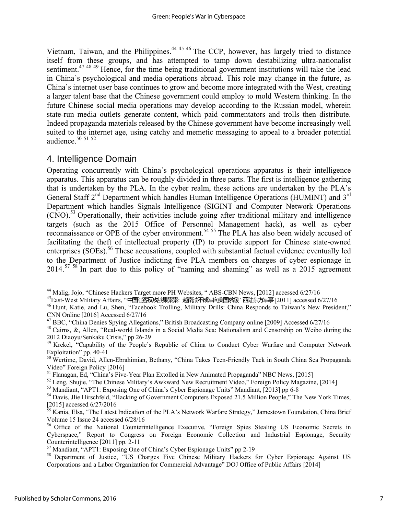Vietnam, Taiwan, and the Philippines.<sup>44 45 46</sup> The CCP, however, has largely tried to distance itself from these groups, and has attempted to tamp down destabilizing ultra-nationalist sentiment.<sup>47 48 49</sup> Hence, for the time being traditional government institutions will take the lead in China's psychological and media operations abroad. This role may change in the future, as China's internet user base continues to grow and become more integrated with the West, creating a larger talent base that the Chinese government could employ to mold Western thinking. In the future Chinese social media operations may develop according to the Russian model, wherein state-run media outlets generate content, which paid commentators and trolls then distribute. Indeed propaganda materials released by the Chinese government have become increasingly well suited to the internet age, using catchy and memetic messaging to appeal to a broader potential audience. $50$   $51$   $52$ 

## 4. Intelligence Domain

Operating concurrently with China's psychological operations apparatus is their intelligence apparatus. This apparatus can be roughly divided in three parts. The first is intelligence gathering that is undertaken by the PLA. In the cyber realm, these actions are undertaken by the PLA's General Staff  $2<sup>nd</sup>$  Department which handles Human Intelligence Operations (HUMINT) and  $3<sup>rd</sup>$ Department which handles Signals Intelligence (SIGINT and Computer Network Operations  $(CNO)$ <sup>53</sup> Operationally, their activities include going after traditional military and intelligence targets (such as the 2015 Office of Personnel Management hack), as well as cyber reconnaissance or OPE of the cyber environment.<sup>54 55</sup> The PLA has also been widely accused of facilitating the theft of intellectual property (IP) to provide support for Chinese state-owned enterprises (SOEs).<sup>56</sup> These accusations, coupled with substantial factual evidence eventually led to the Department of Justice indicting five PLA members on charges of cyber espionage in  $2014$ <sup>57 58</sup> In part due to this policy of "naming and shaming" as well as a 2015 agreement

 $\overline{a}$ <sup>44</sup> Malig, Jojo, "Chinese Hackers Target more PH Websites, "ABS-CBN News, [2012] accessed 6/27/16

<sup>&</sup>lt;sup>45</sup>East-West Military Affairs, "中国 客反攻 课累累: 越南 天成 有主国教授 西 清方 - 唐 [2011] accessed 6/27/16<br><sup>46</sup> Hunt, Katie, and Lu, Shen, "Facebook Trolling, Military Drills: China Responds to Taiwan's New President," CNN Online [2016] Accessed 6/27/16<br><sup>47</sup> BBC, "China Denies Spying Allegations," British Broadcasting Company online [2009] Accessed 6/27/16

<sup>&</sup>lt;sup>48</sup> Cairns, &, Allen, "Real-world Islands in a Social Media Sea: Nationalism and Censorship on Weibo during the 2012 Diaoyu/Senkaku Crisis," pp 26-29

<sup>&</sup>lt;sup>49</sup> Krekel, "Capability of the People's Republic of China to Conduct Cyber Warfare and Computer Network Exploitation" pp. 40-41

<sup>50</sup> Wertime, David, Allen-Ebrahimian, Bethany, "China Takes Teen-Friendly Tack in South China Sea Propaganda Video" Foreign Policy [2016]

<sup>&</sup>lt;sup>51</sup> Flanagan, Ed, "China's Five-Year Plan Extolled in New Animated Propaganda" NBC News, [2015]<br><sup>52</sup> Leng, Shujie, "The Chinese Military's Awkward New Recruitment Video," Foreign Policy Magazine, [2014]<br><sup>53</sup> Mandiant, "AP

<sup>&</sup>lt;sup>54</sup> Davis, Jlie Hirschfeld, "Hacking of Government Computers Exposed 21.5 Million People," The New York Times,  $[2015]$  accessed 6/27/2016

<sup>55</sup> Kania, Elsa, "The Latest Indication of the PLA's Network Warfare Strategy," Jamestown Foundation, China Brief Volume 15 Issue 24 accessed 6/28/16

<sup>&</sup>lt;sup>56</sup> Office of the National Counterintelligence Executive, "Foreign Spies Stealing US Economic Secrets in Cyberspace," Report to Congress on Foreign Economic Collection and Industrial Espionage, Security Counterintelligence [2011] pp. 2-11

<sup>&</sup>lt;sup>57</sup> Mandiant, "APT1: Exposing One of China's Cyber Espionage Units" pp 2-19

<sup>&</sup>lt;sup>58</sup> Department of Justice, "US Charges Five Chinese Military Hackers for Cyber Espionage Against US Corporations and a Labor Organization for Commercial Advantage" DOJ Office of Public Affairs [2014]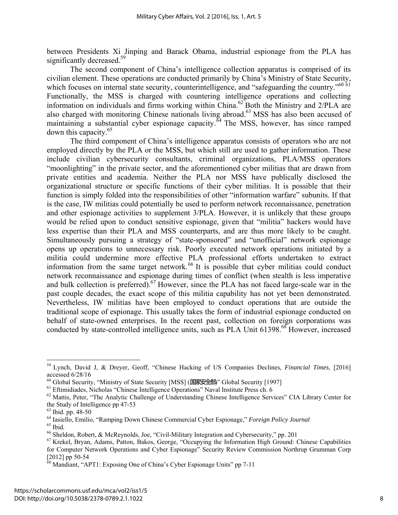between Presidents Xi Jinping and Barack Obama, industrial espionage from the PLA has significantly decreased.<sup>59</sup>

 The second component of China's intelligence collection apparatus is comprised of its civilian element. These operations are conducted primarily by China's Ministry of State Security, which focuses on internal state security, counterintelligence, and "safeguarding the country."<sup>60 61</sup> Functionally, the MSS is charged with countering intelligence operations and collecting information on individuals and firms working within China.62 Both the Ministry and 2/PLA are also charged with monitoring Chinese nationals living abroad.<sup>63</sup> MSS has also been accused of maintaining a substantial cyber espionage capacity.<sup> $64$ </sup> The MSS, however, has since ramped down this capacity.65

 The third component of China's intelligence apparatus consists of operators who are not employed directly by the PLA or the MSS, but which still are used to gather information. These include civilian cybersecurity consultants, criminal organizations, PLA/MSS operators "moonlighting" in the private sector, and the aforementioned cyber militias that are drawn from private entities and academia. Neither the PLA nor MSS have publically disclosed the organizational structure or specific functions of their cyber militias. It is possible that their function is simply folded into the responsibilities of other "information warfare" subunits. If that is the case, IW militias could potentially be used to perform network reconnaissance, penetration and other espionage activities to supplement 3/PLA. However, it is unlikely that these groups would be relied upon to conduct sensitive espionage, given that "militia" hackers would have less expertise than their PLA and MSS counterparts, and are thus more likely to be caught. Simultaneously pursuing a strategy of "state-sponsored" and "unofficial" network espionage opens up operations to unnecessary risk. Poorly executed network operations initiated by a militia could undermine more effective PLA professional efforts undertaken to extract information from the same target network.<sup>66</sup> It is possible that cyber militias could conduct network reconnaissance and espionage during times of conflict (when stealth is less imperative and bulk collection is preferred).<sup>67</sup> However, since the PLA has not faced large-scale war in the past couple decades, the exact scope of this militia capability has not yet been demonstrated. Nevertheless, IW militias have been employed to conduct operations that are outside the traditional scope of espionage. This usually takes the form of industrial espionage conducted on behalf of state-owned enterprises. In the recent past, collection on foreign corporations was conducted by state-controlled intelligence units, such as PLA Unit 61398.<sup>68</sup> However, increased

<sup>59</sup> Lynch, David J, & Dreyer, Geoff, "Chinese Hacking of US Companies Declines, *Financial Times,* [2016] accessed 6/28/16<br><sup>60</sup> Global Security, "Ministry of State Security [MSS] (国家安全部)" Global Security [1997]

 $^{61}$  Eftimidiades, Nicholas "Chinese Intelligence Operations" Naval Institute Press ch. 6<br> $^{62}$  Mattis, Peter, "The Analytic Challenge of Understanding Chinese Intelligence Services" CIA Library Center for the Study of Intelligence pp 47-53

 $63$  Ibid. pp. 48-50

<sup>64</sup> Iasiello, Emilio, "Ramping Down Chinese Commercial Cyber Espionage," *Foreign Policy Journal* 65 Ibid.

 $66$  Sheldon, Robert, & McReynolds, Joe, "Civil-Military Integration and Cybersecurity," pp. 201

<sup>&</sup>lt;sup>67</sup> Krekel, Bryan, Adams, Patton, Bakos, George, "Occupying the Information High Ground: Chinese Capabilities for Computer Network Operations and Cyber Espionage" Security Review Commission Northrup Grumman Corp  $[2012]$  pp 50-54

Mandiant, "APT1: Exposing One of China's Cyber Espionage Units" pp 7-11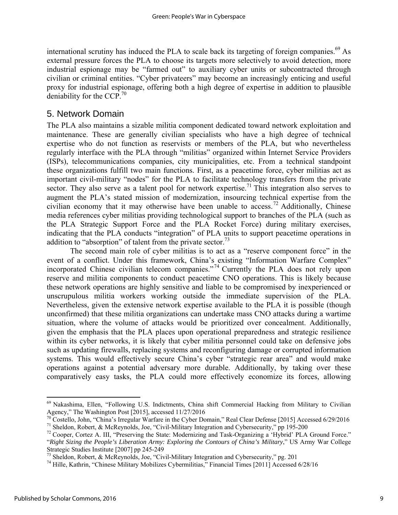international scrutiny has induced the PLA to scale back its targeting of foreign companies.<sup>69</sup> As external pressure forces the PLA to choose its targets more selectively to avoid detection, more industrial espionage may be "farmed out" to auxiliary cyber units or subcontracted through civilian or criminal entities. "Cyber privateers" may become an increasingly enticing and useful proxy for industrial espionage, offering both a high degree of expertise in addition to plausible deniability for the CCP.<sup>70</sup>

#### 5. Network Domain

The PLA also maintains a sizable militia component dedicated toward network exploitation and maintenance. These are generally civilian specialists who have a high degree of technical expertise who do not function as reservists or members of the PLA, but who nevertheless regularly interface with the PLA through "militias" organized within Internet Service Providers (ISPs), telecommunications companies, city municipalities, etc. From a technical standpoint these organizations fulfill two main functions. First, as a peacetime force, cyber militias act as important civil-military "nodes" for the PLA to facilitate technology transfers from the private sector. They also serve as a talent pool for network expertise.<sup>71</sup> This integration also serves to augment the PLA's stated mission of modernization, insourcing technical expertise from the civilian economy that it may otherwise have been unable to access.<sup>72</sup> Additionally, Chinese media references cyber militias providing technological support to branches of the PLA (such as the PLA Strategic Support Force and the PLA Rocket Force) during military exercises, indicating that the PLA conducts "integration" of PLA units to support peacetime operations in addition to "absorption" of talent from the private sector.<sup>73</sup>

The second main role of cyber militias is to act as a "reserve component force" in the event of a conflict. Under this framework, China's existing "Information Warfare Complex" incorporated Chinese civilian telecom companies."<sup>74</sup> Currently the PLA does not rely upon reserve and militia components to conduct peacetime CNO operations. This is likely because these network operations are highly sensitive and liable to be compromised by inexperienced or unscrupulous militia workers working outside the immediate supervision of the PLA. Nevertheless, given the extensive network expertise available to the PLA it is possible (though unconfirmed) that these militia organizations can undertake mass CNO attacks during a wartime situation, where the volume of attacks would be prioritized over concealment. Additionally, given the emphasis that the PLA places upon operational preparedness and strategic resilience within its cyber networks, it is likely that cyber militia personnel could take on defensive jobs such as updating firewalls, replacing systems and reconfiguring damage or corrupted information systems. This would effectively secure China's cyber "strategic rear area" and would make operations against a potential adversary more durable. Additionally, by taking over these comparatively easy tasks, the PLA could more effectively economize its forces, allowing

 $^{69}$  Nakashima, Ellen, "Following U.S. Indictments, China shift Commercial Hacking from Military to Civilian Agency," The Washington Post [2015], accessed  $11/27/2016$ 

<sup>&</sup>lt;sup>70</sup> Costello, John, "China's Irregular Warfare in the Cyber Domain," Real Clear Defense [2015] Accessed 6/29/2016<br><sup>71</sup> Sheldon, Robert, & McReynolds, Joe, "Civil-Military Integration and Cybersecurity," pp 195-200<br><sup>72</sup> C

<sup>&</sup>quot;*Right Sizing the People's Liberation Army: Exploring the Contours of China's Military*," US Army War College Strategic Studies Institute [2007] pp 245-249

 $^{73}$  Sheldon, Robert, & McReynolds, Joe, "Civil-Military Integration and Cybersecurity," pg. 201

<sup>74</sup> Hille, Kathrin, "Chinese Military Mobilizes Cybermilitias," Financial Times [2011] Accessed 6/28/16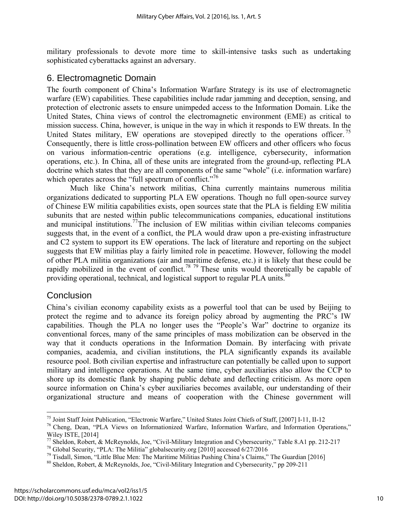military professionals to devote more time to skill-intensive tasks such as undertaking sophisticated cyberattacks against an adversary.

#### 6. Electromagnetic Domain

The fourth component of China's Information Warfare Strategy is its use of electromagnetic warfare (EW) capabilities. These capabilities include radar jamming and deception, sensing, and protection of electronic assets to ensure unimpeded access to the Information Domain. Like the United States, China views of control the electromagnetic environment (EME) as critical to mission success. China, however, is unique in the way in which it responds to EW threats. In the United States military, EW operations are stovepiped directly to the operations officer.<sup>75</sup> Consequently, there is little cross-pollination between EW officers and other officers who focus on various information-centric operations (e.g. intelligence, cybersecurity, information operations, etc.). In China, all of these units are integrated from the ground-up, reflecting PLA doctrine which states that they are all components of the same "whole" (i.e. information warfare) which operates across the "full spectrum of conflict."<sup>76</sup>

Much like China's network militias, China currently maintains numerous militia organizations dedicated to supporting PLA EW operations. Though no full open-source survey of Chinese EW militia capabilities exists, open sources state that the PLA is fielding EW militia subunits that are nested within public telecommunications companies, educational institutions and municipal institutions.<sup>77</sup>The inclusion of EW militias within civilian telecoms companies suggests that, in the event of a conflict, the PLA would draw upon a pre-existing infrastructure and C2 system to support its EW operations. The lack of literature and reporting on the subject suggests that EW militias play a fairly limited role in peacetime. However, following the model of other PLA militia organizations (air and maritime defense, etc.) it is likely that these could be rapidly mobilized in the event of conflict.<sup>78 79</sup> These units would theoretically be capable of providing operational, technical, and logistical support to regular PLA units.<sup>80</sup>

#### **Conclusion**

 $\overline{a}$ 

China's civilian economy capability exists as a powerful tool that can be used by Beijing to protect the regime and to advance its foreign policy abroad by augmenting the PRC's IW capabilities. Though the PLA no longer uses the "People's War" doctrine to organize its conventional forces, many of the same principles of mass mobilization can be observed in the way that it conducts operations in the Information Domain. By interfacing with private companies, academia, and civilian institutions, the PLA significantly expands its available resource pool. Both civilian expertise and infrastructure can potentially be called upon to support military and intelligence operations. At the same time, cyber auxiliaries also allow the CCP to shore up its domestic flank by shaping public debate and deflecting criticism. As more open source information on China's cyber auxiliaries becomes available, our understanding of their organizational structure and means of cooperation with the Chinese government will

<sup>&</sup>lt;sup>75</sup> Joint Staff Joint Publication, "Electronic Warfare," United States Joint Chiefs of Staff, [2007] I-11, II-12  $^{76}$  Cheng, Dean, "PLA Views on Informationized Warfare, Information Warfare, and Information Operations,

Wiley ISTE, [2014]<br><sup>77</sup> Sheldon, Robert, & McReynolds, Joe, "Civil-Military Integration and Cybersecurity," Table 8.A1 pp. 212-217

<sup>&</sup>lt;sup>78</sup> Global Security, "PLA: The Militia" global security or g[2010] accessed  $6/27/2016$ <br><sup>79</sup> Tisdall, Simon, "Little Blue Men: The Maritime Militias Pushing China's Claims," The Guardian [2016]

<sup>80</sup> Sheldon, Robert, & McReynolds, Joe, "Civil-Military Integration and Cybersecurity," pp 209-211